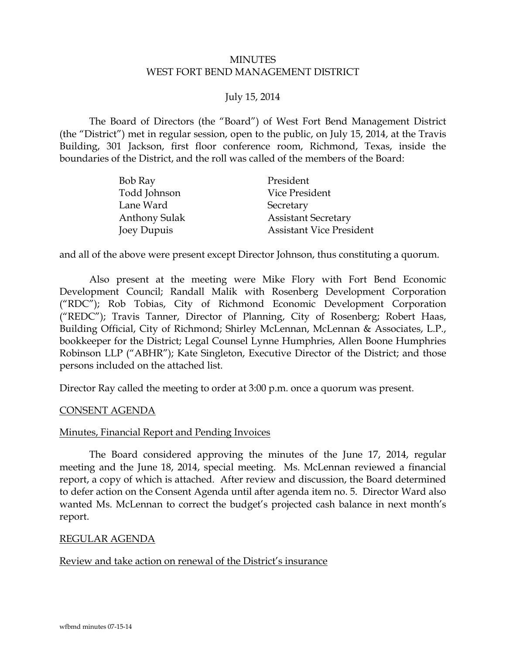## MINUTES WEST FORT BEND MANAGEMENT DISTRICT

## July 15, 2014

The Board of Directors (the "Board") of West Fort Bend Management District (the "District") met in regular session, open to the public, on July 15, 2014, at the Travis Building, 301 Jackson, first floor conference room, Richmond, Texas, inside the boundaries of the District, and the roll was called of the members of the Board:

| Bob Ray              | President                       |
|----------------------|---------------------------------|
| Todd Johnson         | Vice President                  |
| Lane Ward            | Secretary                       |
| <b>Anthony Sulak</b> | <b>Assistant Secretary</b>      |
| Joey Dupuis          | <b>Assistant Vice President</b> |

and all of the above were present except Director Johnson, thus constituting a quorum.

Also present at the meeting were Mike Flory with Fort Bend Economic Development Council; Randall Malik with Rosenberg Development Corporation ("RDC"); Rob Tobias, City of Richmond Economic Development Corporation ("REDC"); Travis Tanner, Director of Planning, City of Rosenberg; Robert Haas, Building Official, City of Richmond; Shirley McLennan, McLennan & Associates, L.P., bookkeeper for the District; Legal Counsel Lynne Humphries, Allen Boone Humphries Robinson LLP ("ABHR"); Kate Singleton, Executive Director of the District; and those persons included on the attached list.

<span id="page-0-0"></span>Director Ray called the meeting to order at 3:00 p.m. once a quorum was present.

#### CONSENT AGENDA

#### Minutes, Financial Report and Pending Invoices

<span id="page-0-1"></span>The Board considered approving the minutes of the June 17, 2014, regular meeting and the June 18, 2014, special meeting. Ms. McLennan reviewed a financial report, a copy of which is attached. After review and discussion, the Board determined to defer action on the Consent Agenda until after agenda item no. 5. Director Ward also wanted Ms. McLennan to correct the budget's projected cash balance in next month's report.

#### REGULAR AGENDA

Review and take action on renewal of the District's insurance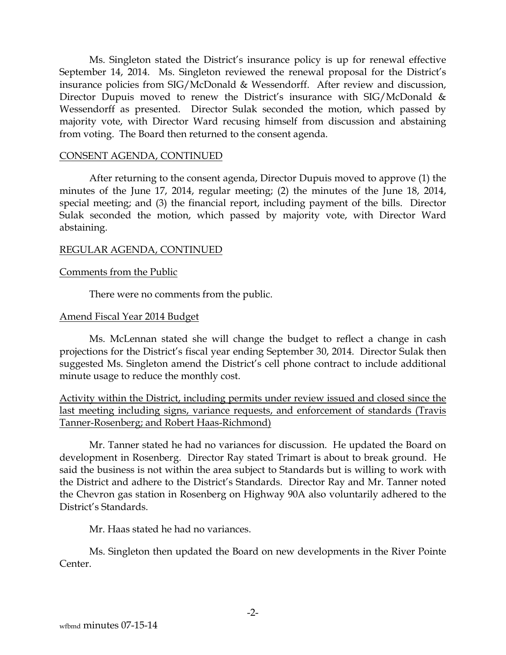Ms. Singleton stated the District's insurance policy is up for renewal effective September 14, 2014. Ms. Singleton reviewed the renewal proposal for the District's insurance policies from SIG/McDonald & Wessendorff. After review and discussion, Director Dupuis moved to renew the District's insurance with SIG/McDonald & Wessendorff as presented. Director Sulak seconded the motion, which passed by majority vote, with Director Ward recusing himself from discussion and abstaining from voting. The Board then returned to the consent agenda.

#### CONSENT AGENDA, CONTINUED

After returning to the consent agenda, Director Dupuis moved to approve (1) the minutes of the June 17, 2014, regular meeting; (2) the minutes of the June 18, 2014, special meeting; and (3) the financial report, including payment of the bills. Director Sulak seconded the motion, which passed by majority vote, with Director Ward abstaining.

#### REGULAR AGENDA, CONTINUED

#### Comments from the Public

There were no comments from the public.

#### Amend Fiscal Year 2014 Budget

Ms. McLennan stated she will change the budget to reflect a change in cash projections for the District's fiscal year ending September 30, 2014. Director Sulak then suggested Ms. Singleton amend the District's cell phone contract to include additional minute usage to reduce the monthly cost.

Activity within the District, including permits under review issued and closed since the last meeting including signs, variance requests, and enforcement of standards (Travis Tanner-Rosenberg; and Robert Haas-Richmond)

Mr. Tanner stated he had no variances for discussion. He updated the Board on development in Rosenberg. Director Ray stated Trimart is about to break ground. He said the business is not within the area subject to Standards but is willing to work with the District and adhere to the District's Standards. Director Ray and Mr. Tanner noted the Chevron gas station in Rosenberg on Highway 90A also voluntarily adhered to the District's Standards.

Mr. Haas stated he had no variances.

Ms. Singleton then updated the Board on new developments in the River Pointe Center.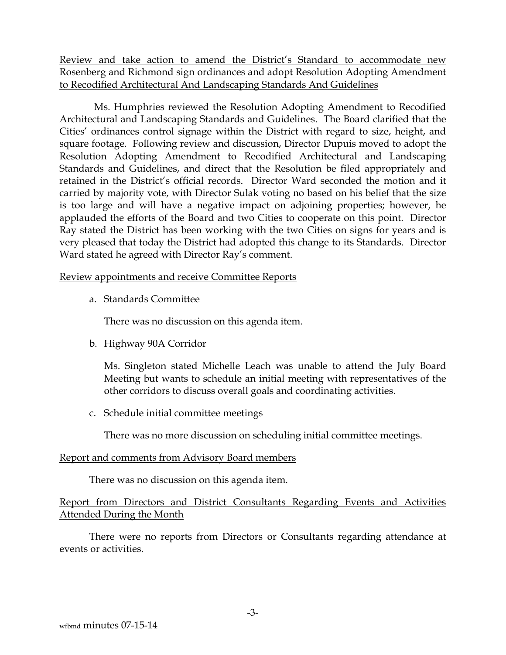Review and take action to amend the District's Standard to accommodate new Rosenberg and Richmond sign ordinances and adopt Resolution Adopting Amendment to Recodified Architectural And Landscaping Standards And Guidelines

 Ms. Humphries reviewed the Resolution Adopting Amendment to Recodified Architectural and Landscaping Standards and Guidelines. The Board clarified that the Cities' ordinances control signage within the District with regard to size, height, and square footage. Following review and discussion, Director Dupuis moved to adopt the Resolution Adopting Amendment to Recodified Architectural and Landscaping Standards and Guidelines, and direct that the Resolution be filed appropriately and retained in the District's official records. Director Ward seconded the motion and it carried by majority vote, with Director Sulak voting no based on his belief that the size is too large and will have a negative impact on adjoining properties; however, he applauded the efforts of the Board and two Cities to cooperate on this point. Director Ray stated the District has been working with the two Cities on signs for years and is very pleased that today the District had adopted this change to its Standards. Director Ward stated he agreed with Director Ray's comment.

## Review appointments and receive Committee Reports

a. Standards Committee

There was no discussion on this agenda item.

b. Highway 90A Corridor

Ms. Singleton stated Michelle Leach was unable to attend the July Board Meeting but wants to schedule an initial meeting with representatives of the other corridors to discuss overall goals and coordinating activities.

c. Schedule initial committee meetings

There was no more discussion on scheduling initial committee meetings.

# Report and comments from Advisory Board members

There was no discussion on this agenda item.

# Report from Directors and District Consultants Regarding Events and Activities Attended During the Month

There were no reports from Directors or Consultants regarding attendance at events or activities.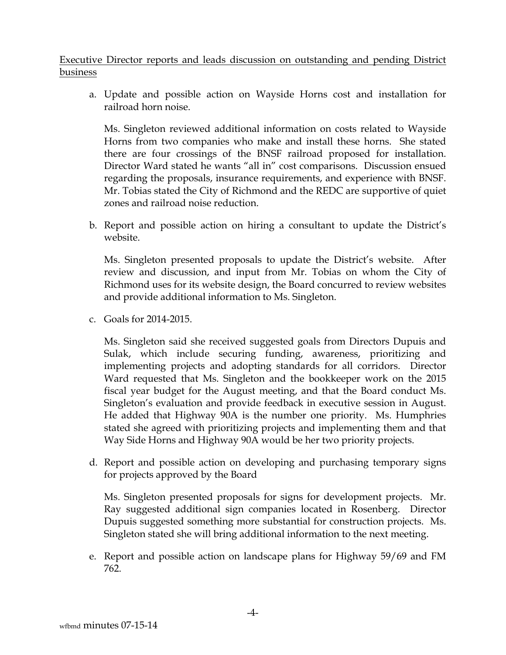# Executive Director reports and leads discussion on outstanding and pending District business

a. Update and possible action on Wayside Horns cost and installation for railroad horn noise.

Ms. Singleton reviewed additional information on costs related to Wayside Horns from two companies who make and install these horns. She stated there are four crossings of the BNSF railroad proposed for installation. Director Ward stated he wants "all in" cost comparisons. Discussion ensued regarding the proposals, insurance requirements, and experience with BNSF. Mr. Tobias stated the City of Richmond and the REDC are supportive of quiet zones and railroad noise reduction.

b. Report and possible action on hiring a consultant to update the District's website.

Ms. Singleton presented proposals to update the District's website. After review and discussion, and input from Mr. Tobias on whom the City of Richmond uses for its website design, the Board concurred to review websites and provide additional information to Ms. Singleton.

c. Goals for 2014-2015.

Ms. Singleton said she received suggested goals from Directors Dupuis and Sulak, which include securing funding, awareness, prioritizing and implementing projects and adopting standards for all corridors. Director Ward requested that Ms. Singleton and the bookkeeper work on the 2015 fiscal year budget for the August meeting, and that the Board conduct Ms. Singleton's evaluation and provide feedback in executive session in August. He added that Highway 90A is the number one priority. Ms. Humphries stated she agreed with prioritizing projects and implementing them and that Way Side Horns and Highway 90A would be her two priority projects.

d. Report and possible action on developing and purchasing temporary signs for projects approved by the Board

Ms. Singleton presented proposals for signs for development projects. Mr. Ray suggested additional sign companies located in Rosenberg. Director Dupuis suggested something more substantial for construction projects. Ms. Singleton stated she will bring additional information to the next meeting.

e. Report and possible action on landscape plans for Highway 59/69 and FM 762.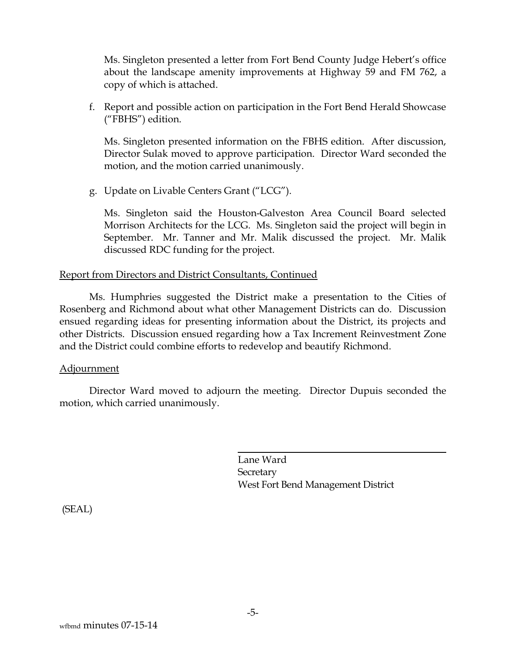<span id="page-4-0"></span>Ms. Singleton presented a letter from Fort Bend County Judge Hebert's office about the landscape amenity improvements at Highway 59 and FM 762, a copy of which is attached.

f. Report and possible action on participation in the Fort Bend Herald Showcase ("FBHS") edition.

Ms. Singleton presented information on the FBHS edition. After discussion, Director Sulak moved to approve participation. Director Ward seconded the motion, and the motion carried unanimously.

g. Update on Livable Centers Grant ("LCG").

Ms. Singleton said the Houston-Galveston Area Council Board selected Morrison Architects for the LCG. Ms. Singleton said the project will begin in September. Mr. Tanner and Mr. Malik discussed the project. Mr. Malik discussed RDC funding for the project.

#### Report from Directors and District Consultants, Continued

Ms. Humphries suggested the District make a presentation to the Cities of Rosenberg and Richmond about what other Management Districts can do. Discussion ensued regarding ideas for presenting information about the District, its projects and other Districts. Discussion ensued regarding how a Tax Increment Reinvestment Zone and the District could combine efforts to redevelop and beautify Richmond.

## Adjournment

Director Ward moved to adjourn the meeting. Director Dupuis seconded the motion, which carried unanimously.

> Lane Ward **Secretary** West Fort Bend Management District

(SEAL)